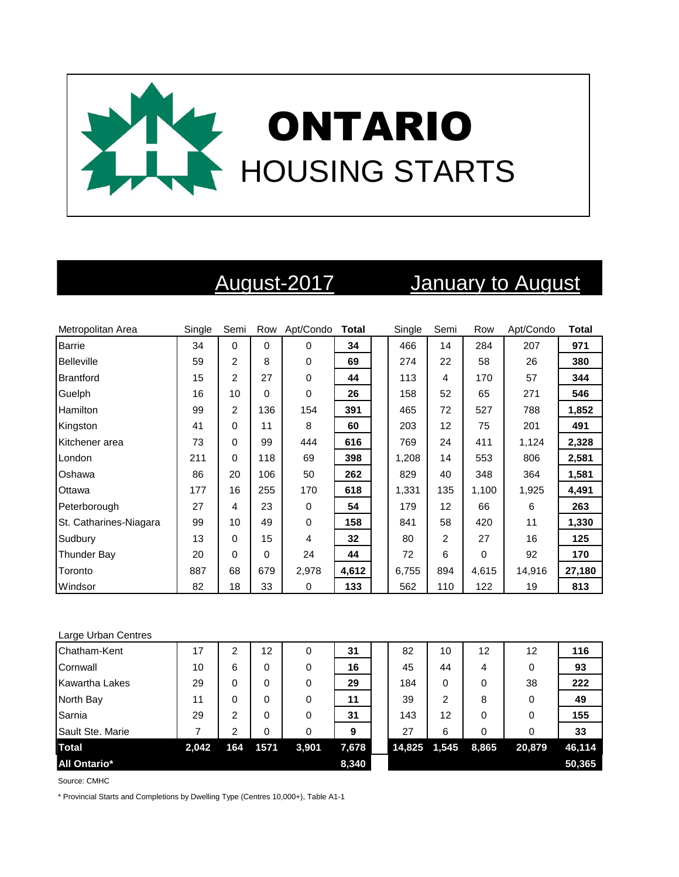

# August-2017 January to August

| Metropolitan Area      | Single | Semi           |          | Row Apt/Condo | <b>Total</b> | Single | Semi           | Row      | Apt/Condo | <b>Total</b> |
|------------------------|--------|----------------|----------|---------------|--------------|--------|----------------|----------|-----------|--------------|
| <b>Barrie</b>          | 34     | $\mathbf 0$    | $\Omega$ | $\Omega$      | 34           | 466    | 14             | 284      | 207       | 971          |
| <b>Belleville</b>      | 59     | $\overline{c}$ | 8        | 0             | 69           | 274    | 22             | 58       | 26        | 380          |
| Brantford              | 15     | 2              | 27       | 0             | 44           | 113    | 4              | 170      | 57        | 344          |
| Guelph                 | 16     | 10             | $\Omega$ | 0             | 26           | 158    | 52             | 65       | 271       | 546          |
| Hamilton               | 99     | $\overline{c}$ | 136      | 154           | 391          | 465    | 72             | 527      | 788       | 1,852        |
| Kingston               | 41     | 0              | 11       | 8             | 60           | 203    | 12             | 75       | 201       | 491          |
| Kitchener area         | 73     | 0              | 99       | 444           | 616          | 769    | 24             | 411      | 1,124     | 2,328        |
| London                 | 211    | 0              | 118      | 69            | 398          | 1,208  | 14             | 553      | 806       | 2,581        |
| Oshawa                 | 86     | 20             | 106      | 50            | 262          | 829    | 40             | 348      | 364       | 1,581        |
| Ottawa                 | 177    | 16             | 255      | 170           | 618          | 1,331  | 135            | 1,100    | 1,925     | 4,491        |
| Peterborough           | 27     | 4              | 23       | 0             | 54           | 179    | 12             | 66       | 6         | 263          |
| St. Catharines-Niagara | 99     | 10             | 49       | 0             | 158          | 841    | 58             | 420      | 11        | 1,330        |
| Sudbury                | 13     | 0              | 15       | 4             | 32           | 80     | $\overline{2}$ | 27       | 16        | 125          |
| Thunder Bay            | 20     | 0              | $\Omega$ | 24            | 44           | 72     | 6              | $\Omega$ | 92        | 170          |
| Toronto                | 887    | 68             | 679      | 2,978         | 4,612        | 6,755  | 894            | 4,615    | 14,916    | 27,180       |
| Windsor                | 82     | 18             | 33       | 0             | 133          | 562    | 110            | 122      | 19        | 813          |

### Large Urban Centres

| Chatham-Kent          | 17    | 2   | 12   | 0     | 31    | 82     | 10    | 12    | 12     | 116    |
|-----------------------|-------|-----|------|-------|-------|--------|-------|-------|--------|--------|
| Cornwall              | 10    | 6   | 0    | 0     | 16    | 45     | 44    | 4     | 0      | 93     |
| <b>Kawartha Lakes</b> | 29    | 0   | 0    | 0     | 29    | 184    | 0     | 0     | 38     | 222    |
| North Bay             | 11    | 0   | 0    | 0     | 11    | 39     | 2     | 8     | 0      | 49     |
| Sarnia                | 29    | 2   | 0    | 0     | 31    | 143    | 12    | 0     | 0      | 155    |
| Sault Ste. Marie      |       | າ   |      | 0     | 9     | 27     | 6     | 0     |        | 33     |
| <b>Total</b>          | 2,042 | 164 | 1571 | 3,901 | 7,678 | 14,825 | 1,545 | 8,865 | 20,879 | 46,114 |
| <b>All Ontario*</b>   |       |     |      |       | 8,340 |        |       |       |        | 50,365 |

Source: CMHC

\* Provincial Starts and Completions by Dwelling Type (Centres 10,000+), Table A1-1